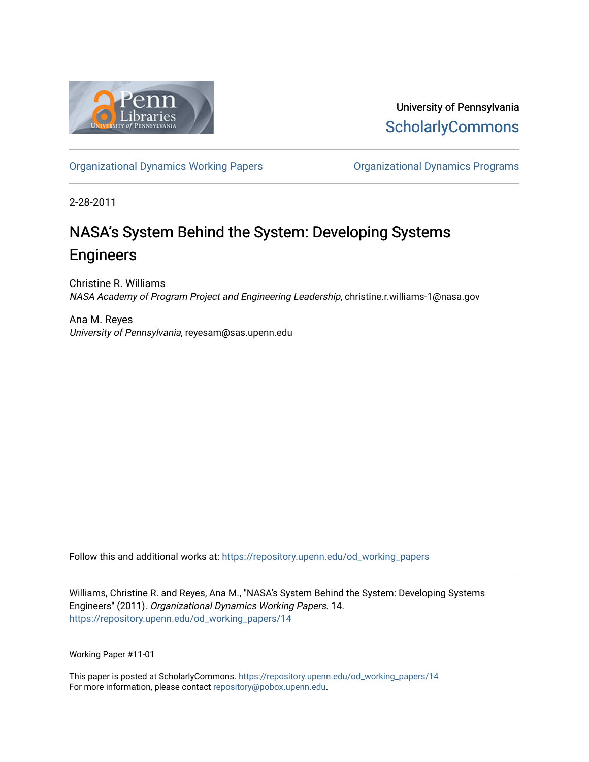

University of Pennsylvania **ScholarlyCommons** 

[Organizational Dynamics Working Papers](https://repository.upenn.edu/od_working_papers) [Organizational Dynamics Programs](https://repository.upenn.edu/organizational_dynamics) 

2-28-2011

## NASA's System Behind the System: Developing Systems Engineers

Christine R. Williams NASA Academy of Program Project and Engineering Leadership, christine.r.williams-1@nasa.gov

Ana M. Reyes University of Pennsylvania, reyesam@sas.upenn.edu

Follow this and additional works at: [https://repository.upenn.edu/od\\_working\\_papers](https://repository.upenn.edu/od_working_papers?utm_source=repository.upenn.edu%2Fod_working_papers%2F14&utm_medium=PDF&utm_campaign=PDFCoverPages) 

Williams, Christine R. and Reyes, Ana M., "NASA's System Behind the System: Developing Systems Engineers" (2011). Organizational Dynamics Working Papers. 14. [https://repository.upenn.edu/od\\_working\\_papers/14](https://repository.upenn.edu/od_working_papers/14?utm_source=repository.upenn.edu%2Fod_working_papers%2F14&utm_medium=PDF&utm_campaign=PDFCoverPages)

Working Paper #11-01

This paper is posted at ScholarlyCommons. [https://repository.upenn.edu/od\\_working\\_papers/14](https://repository.upenn.edu/od_working_papers/14) For more information, please contact [repository@pobox.upenn.edu.](mailto:repository@pobox.upenn.edu)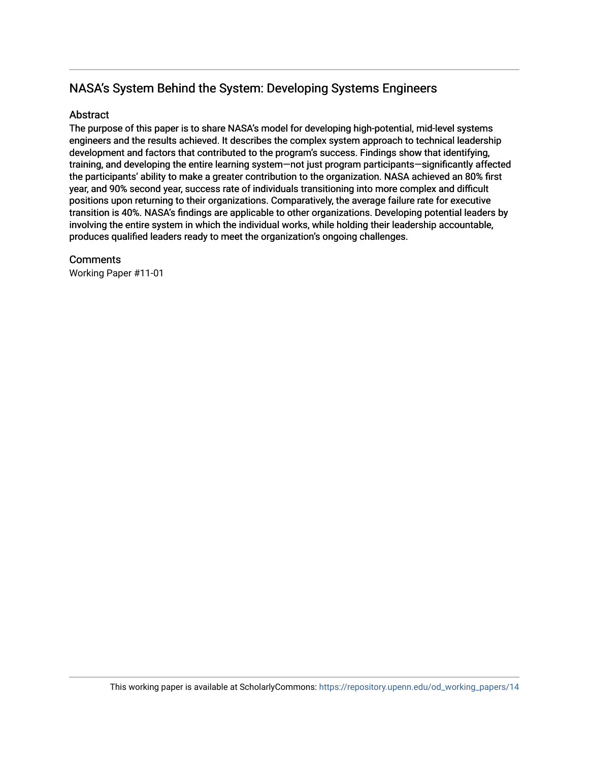## NASA's System Behind the System: Developing Systems Engineers

## Abstract

The purpose of this paper is to share NASA's model for developing high-potential, mid-level systems engineers and the results achieved. It describes the complex system approach to technical leadership development and factors that contributed to the program's success. Findings show that identifying, training, and developing the entire learning system—not just program participants—significantly affected the participants' ability to make a greater contribution to the organization. NASA achieved an 80% first year, and 90% second year, success rate of individuals transitioning into more complex and difficult positions upon returning to their organizations. Comparatively, the average failure rate for executive transition is 40%. NASA's findings are applicable to other organizations. Developing potential leaders by involving the entire system in which the individual works, while holding their leadership accountable, produces qualified leaders ready to meet the organization's ongoing challenges.

## **Comments**

Working Paper #11-01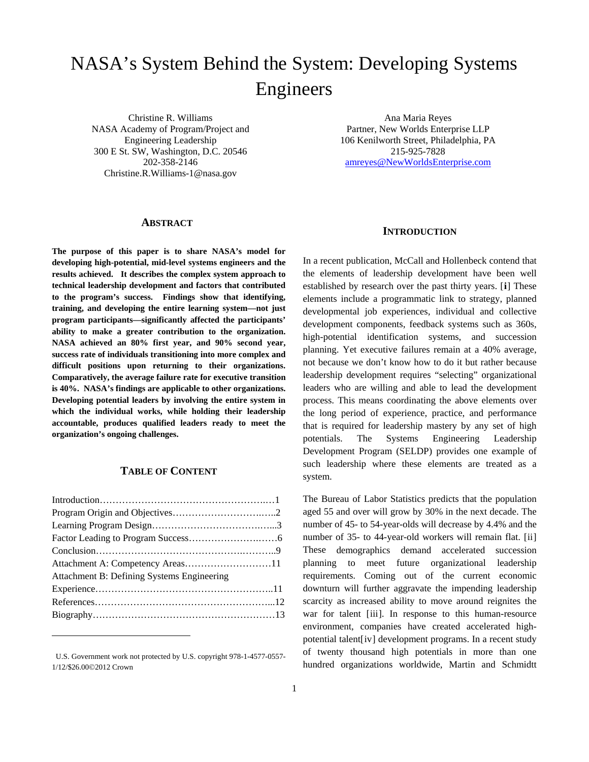# NASA's System Behind the System: Developing Systems Engineers

Christine R. Williams NASA Academy of Program/Project and Engineering Leadership 300 E St. SW, Washington, D.C. 20546 202-358-2146 Christine.R.Williams-1@nasa.gov

#### **ABSTRACT**

**The purpose of this paper is to share NASA's model for developing high-potential, mid-level systems engineers and the results achieved. It describes the complex system approach to technical leadership development and factors that contributed to the program's success. Findings show that identifying, training, and developing the entire learning system—not just program participants—significantly affected the participants' ability to make a greater contribution to the organization. NASA achieved an 80% first year, and 90% second year, success rate of individuals transitioning into more complex and difficult positions upon returning to their organizations. Comparatively, the average failure rate for executive transition is 40%. NASA's findings are applicable to other organizations. Developing potential leaders by involving the entire system in which the individual works, while holding their leadership accountable, produces qualified leaders ready to meet the organization's ongoing challenges.** 

#### **TABLE OF CONTENT**

| Attachment A: Competency Areas11           |  |
|--------------------------------------------|--|
| Attachment B: Defining Systems Engineering |  |
|                                            |  |
|                                            |  |
|                                            |  |

<span id="page-2-0"></span>U.S. Government work not protected by U.S. copyright 978-1-4577-0557- 1/12/\$26.002012 Crown

l

Ana Maria Reyes Partner, New Worlds Enterprise LLP 106 Kenilworth Street, Philadelphia, PA 215-925-7828 [amreyes@NewWorldsEnterprise.com](mailto:amreyes@NewWorldsEnterprise.com)

#### **INTRODUCTION**

In a recent publication, McCall and Hollenbeck contend that the elements of leadership development have been well established by research over the past thirty years. [**[i](#page-13-0)**] These elements include a programmatic link to strategy, planned developmental job experiences, individual and collective development components, feedback systems such as 360s, high-potential identification systems, and succession planning. Yet executive failures remain at a 40% average, not because we don't know how to do it but rather because leadership development requires "selecting" organizational leaders who are willing and able to lead the development process. This means coordinating the above elements over the long period of experience, practice, and performance that is required for leadership mastery by any set of high potentials. The Systems Engineering Leadership Development Program (SELDP) provides one example of such leadership where these elements are treated as a system.

The Bureau of Labor Statistics predicts that the population aged 55 and over will grow by 30% in the next decade. The number of 45- to 54-year-olds will decrease by 4.4% and the number of 35- to 44-year-old workers will remain flat. [[ii](#page-13-1)] These demographics demand accelerated succession planning to meet future organizational leadership requirements. Coming out of the current economic downturn will further aggravate the impending leadership scarcity as increased ability to move around reignites the war for talent [[iii](#page-13-2)]. In response to this human-resource environment, companies have created accelerated highpotential talent[[iv](#page-13-3)] development programs. In a recent study of twenty thousand high potentials in more than one hundred organizations worldwide, Martin and Schmidtt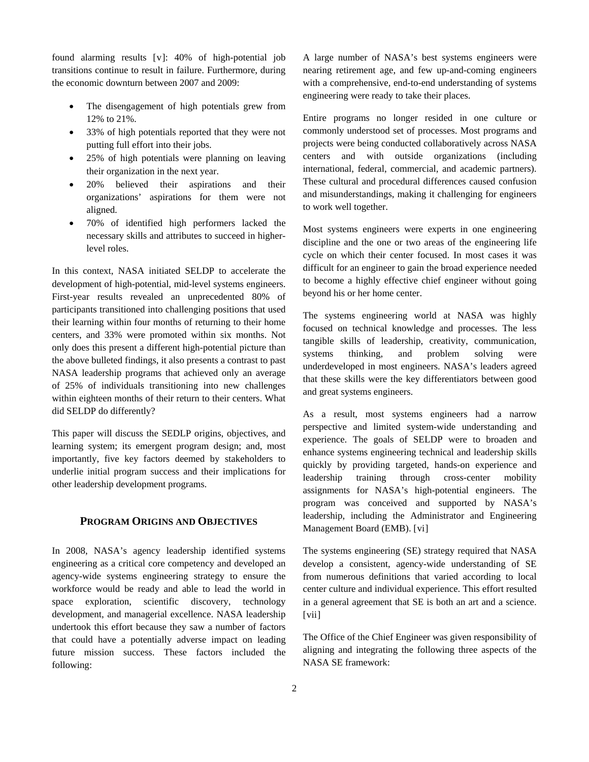found alarming results [[v](#page-14-0)]: 40% of high-potential job transitions continue to result in failure. Furthermore, during the economic downturn between 2007 and 2009:

- The disengagement of high potentials grew from 12% to 21%.
- 33% of high potentials reported that they were not putting full effort into their jobs.
- 25% of high potentials were planning on leaving their organization in the next year.
- 20% believed their aspirations and their organizations' aspirations for them were not aligned.
- 70% of identified high performers lacked the necessary skills and attributes to succeed in higherlevel roles.

In this context, NASA initiated SELDP to accelerate the development of high-potential, mid-level systems engineers. First-year results revealed an unprecedented 80% of participants transitioned into challenging positions that used their learning within four months of returning to their home centers, and 33% were promoted within six months. Not only does this present a different high-potential picture than the above bulleted findings, it also presents a contrast to past NASA leadership programs that achieved only an average of 25% of individuals transitioning into new challenges within eighteen months of their return to their centers. What did SELDP do differently?

This paper will discuss the SEDLP origins, objectives, and learning system; its emergent program design; and, most importantly, five key factors deemed by stakeholders to underlie initial program success and their implications for other leadership development programs.

#### **PROGRAM ORIGINS AND OBJECTIVES**

In 2008, NASA's agency leadership identified systems engineering as a critical core competency and developed an agency-wide systems engineering strategy to ensure the workforce would be ready and able to lead the world in space exploration, scientific discovery, technology development, and managerial excellence. NASA leadership undertook this effort because they saw a number of factors that could have a potentially adverse impact on leading future mission success. These factors included the following:

A large number of NASA's best systems engineers were nearing retirement age, and few up-and-coming engineers with a comprehensive, end-to-end understanding of systems engineering were ready to take their places.

Entire programs no longer resided in one culture or commonly understood set of processes. Most programs and projects were being conducted collaboratively across NASA centers and with outside organizations (including international, federal, commercial, and academic partners). These cultural and procedural differences caused confusion and misunderstandings, making it challenging for engineers to work well together.

Most systems engineers were experts in one engineering discipline and the one or two areas of the engineering life cycle on which their center focused. In most cases it was difficult for an engineer to gain the broad experience needed to become a highly effective chief engineer without going beyond his or her home center.

The systems engineering world at NASA was highly focused on technical knowledge and processes. The less tangible skills of leadership, creativity, communication, systems thinking, and problem solving were underdeveloped in most engineers. NASA's leaders agreed that these skills were the key differentiators between good and great systems engineers.

As a result, most systems engineers had a narrow perspective and limited system-wide understanding and experience. The goals of SELDP were to broaden and enhance systems engineering technical and leadership skills quickly by providing targeted, hands-on experience and leadership training through cross-center mobility assignments for NASA's high-potential engineers. The program was conceived and supported by NASA's leadership, including the Administrator and Engineering Management Board (EMB). [[vi](#page-14-1)]

The systems engineering (SE) strategy required that NASA develop a consistent, agency-wide understanding of SE from numerous definitions that varied according to local center culture and individual experience. This effort resulted in a general agreement that SE is both an art and a science.  $\lceil \text{vii} \rceil$  $\lceil \text{vii} \rceil$  $\lceil \text{vii} \rceil$ 

The Office of the Chief Engineer was given responsibility of aligning and integrating the following three aspects of the NASA SE framework: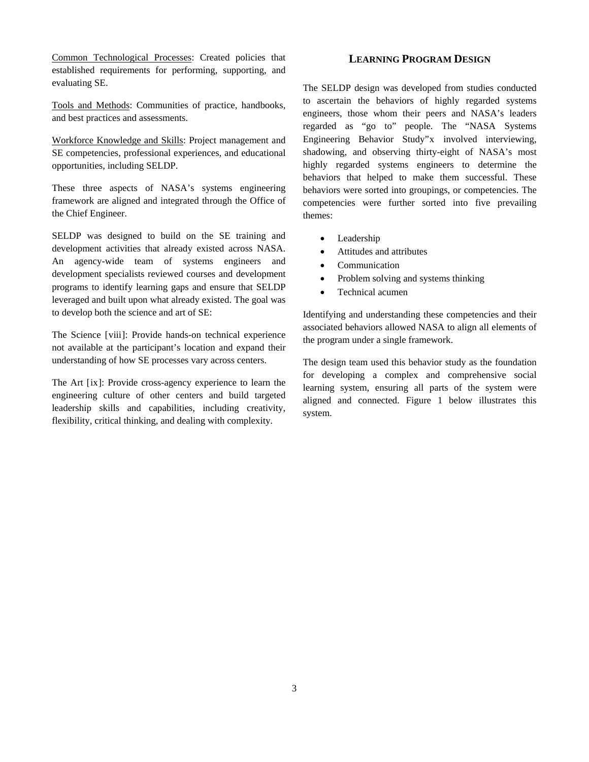Common Technological Processes: Created policies that established requirements for performing, supporting, and evaluating SE.

Tools and Methods: Communities of practice, handbooks, and best practices and assessments.

Workforce Knowledge and Skills: Project management and SE competencies, professional experiences, and educational opportunities, including SELDP.

These three aspects of NASA's systems engineering framework are aligned and integrated through the Office of the Chief Engineer.

SELDP was designed to build on the SE training and development activities that already existed across NASA. An agency-wide team of systems engineers and development specialists reviewed courses and development programs to identify learning gaps and ensure that SELDP leveraged and built upon what already existed. The goal was to develop both the science and art of SE:

The Science [[viii](#page-14-3)]: Provide hands-on technical experience not available at the participant's location and expand their understanding of how SE processes vary across centers.

The Art [[ix](#page-14-4)]: Provide cross-agency experience to learn the engineering culture of other centers and build targeted leadership skills and capabilities, including creativity, flexibility, critical thinking, and dealing with complexity.

#### **LEARNING PROGRAM DESIGN**

The SELDP design was developed from studies conducted to ascertain the behaviors of highly regarded systems engineers, those whom their peers and NASA's leaders regarded as "go to" people. The "NASA Systems Engineering Behavior Study"[x](#page-14-5) involved interviewing, shadowing, and observing thirty-eight of NASA's most highly regarded systems engineers to determine the behaviors that helped to make them successful. These behaviors were sorted into groupings, or competencies. The competencies were further sorted into five prevailing themes:

- Leadership
- Attitudes and attributes
- Communication
- Problem solving and systems thinking
- Technical acumen

Identifying and understanding these competencies and their associated behaviors allowed NASA to align all elements of the program under a single framework.

The design team used this behavior study as the foundation for developing a complex and comprehensive social learning system, ensuring all parts of the system were aligned and connected. Figure 1 below illustrates this system.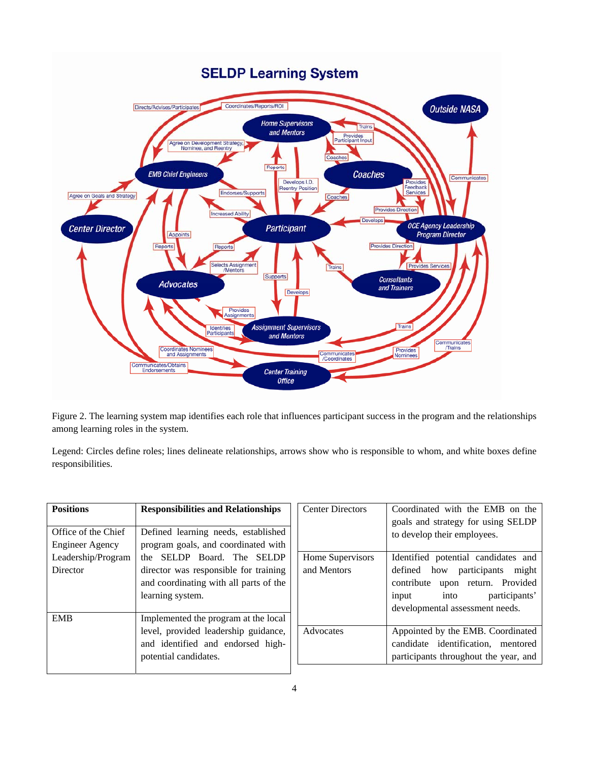

Figure 2. The learning system map identifies each role that influences participant success in the program and the relationships among learning roles in the system.

Legend: Circles define roles; lines delineate relationships, arrows show who is responsible to whom, and white boxes define responsibilities.

| <b>Positions</b>       | <b>Responsibilities and Relationships</b> | <b>Center Directors</b> | Coordinated with the EMB on the         |
|------------------------|-------------------------------------------|-------------------------|-----------------------------------------|
|                        |                                           |                         | goals and strategy for using SELDP      |
| Office of the Chief    | Defined learning needs, established       |                         | to develop their employees.             |
| <b>Engineer Agency</b> | program goals, and coordinated with       |                         |                                         |
| Leadership/Program     | SELDP Board. The SELDP<br>the             | Home Supervisors        | Identified potential candidates and     |
| Director               | director was responsible for training     | and Mentors             | participants<br>how<br>defined<br>might |
|                        | and coordinating with all parts of the    |                         | upon return. Provided<br>contribute     |
|                        | learning system.                          |                         | participants'<br>into<br>input          |
|                        |                                           |                         | developmental assessment needs.         |
| <b>EMB</b>             | Implemented the program at the local      |                         |                                         |
|                        | level, provided leadership guidance,      | Advocates               | Appointed by the EMB. Coordinated       |
|                        | and identified and endorsed high-         |                         | candidate identification, mentored      |
|                        | potential candidates.                     |                         | participants throughout the year, and   |
|                        |                                           |                         |                                         |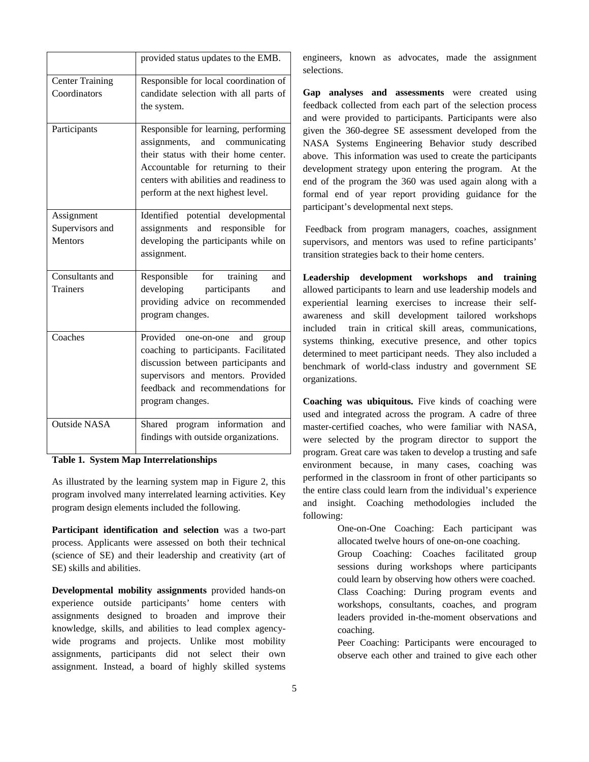|                                        | provided status updates to the EMB.                                                                                                                                                                                                   |
|----------------------------------------|---------------------------------------------------------------------------------------------------------------------------------------------------------------------------------------------------------------------------------------|
| <b>Center Training</b><br>Coordinators | Responsible for local coordination of<br>candidate selection with all parts of<br>the system.                                                                                                                                         |
| Participants                           | Responsible for learning, performing<br>assignments, and communicating<br>their status with their home center.<br>Accountable for returning to their<br>centers with abilities and readiness to<br>perform at the next highest level. |
| Assignment                             | Identified potential developmental                                                                                                                                                                                                    |
| Supervisors and                        | assignments and responsible<br>for                                                                                                                                                                                                    |
| <b>Mentors</b>                         | developing the participants while on<br>assignment.                                                                                                                                                                                   |
| Consultants and<br><b>Trainers</b>     | for<br>Responsible<br>training<br>and<br>developing participants<br>and<br>providing advice on recommended<br>program changes.                                                                                                        |
| Coaches                                | Provided one-on-one<br>and<br>group<br>coaching to participants. Facilitated<br>discussion between participants and<br>supervisors and mentors. Provided<br>feedback and recommendations for<br>program changes.                      |
| <b>Outside NASA</b>                    | Shared program information<br>and<br>findings with outside organizations.                                                                                                                                                             |

#### **Table 1. System Map Interrelationships**

As illustrated by the learning system map in Figure 2, this program involved many interrelated learning activities. Key program design elements included the following.

**Participant identification and selection** was a two-part process. Applicants were assessed on both their technical (science of SE) and their leadership and creativity (art of SE) skills and abilities.

**Developmental mobility assignments** provided hands-on experience outside participants' home centers with assignments designed to broaden and improve their knowledge, skills, and abilities to lead complex agencywide programs and projects. Unlike most mobility assignments, participants did not select their own assignment. Instead, a board of highly skilled systems

engineers, known as advocates, made the assignment selections.

**Gap analyses and assessments** were created using feedback collected from each part of the selection process and were provided to participants. Participants were also given the 360-degree SE assessment developed from the NASA Systems Engineering Behavior study described above. This information was used to create the participants development strategy upon entering the program. At the end of the program the 360 was used again along with a formal end of year report providing guidance for the participant's developmental next steps.

 Feedback from program managers, coaches, assignment supervisors, and mentors was used to refine participants' transition strategies back to their home centers.

**Leadership development workshops and training** allowed participants to learn and use leadership models and experiential learning exercises to increase their selfawareness and skill development tailored workshops included train in critical skill areas, communications, systems thinking, executive presence, and other topics determined to meet participant needs. They also included a benchmark of world-class industry and government SE organizations.

**Coaching was ubiquitous.** Five kinds of coaching were used and integrated across the program. A cadre of three master-certified coaches, who were familiar with NASA, were selected by the program director to support the program. Great care was taken to develop a trusting and safe environment because, in many cases, coaching was performed in the classroom in front of other participants so the entire class could learn from the individual's experience and insight. Coaching methodologies included the following:

> One-on-One Coaching: Each participant was allocated twelve hours of one-on-one coaching.

Group Coaching: Coaches facilitated group sessions during workshops where participants could learn by observing how others were coached. Class Coaching: During program events and workshops, consultants, coaches, and program leaders provided in-the-moment observations and coaching.

Peer Coaching: Participants were encouraged to observe each other and trained to give each other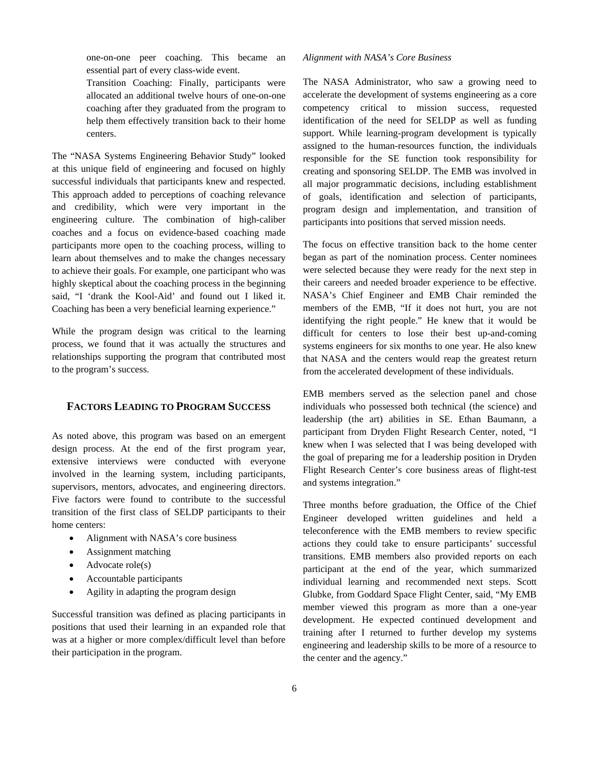one-on-one peer coaching. This became an essential part of every class-wide event.

Transition Coaching: Finally, participants were allocated an additional twelve hours of one-on-one coaching after they graduated from the program to help them effectively transition back to their home centers.

The "NASA Systems Engineering Behavior Study" looked at this unique field of engineering and focused on highly successful individuals that participants knew and respected. This approach added to perceptions of coaching relevance and credibility, which were very important in the engineering culture. The combination of high-caliber coaches and a focus on evidence-based coaching made participants more open to the coaching process, willing to learn about themselves and to make the changes necessary to achieve their goals. For example, one participant who was highly skeptical about the coaching process in the beginning said, "I 'drank the Kool-Aid' and found out I liked it. Coaching has been a very beneficial learning experience."

While the program design was critical to the learning process, we found that it was actually the structures and relationships supporting the program that contributed most to the program's success.

### **FACTORS LEADING TO PROGRAM SUCCESS**

As noted above, this program was based on an emergent design process. At the end of the first program year, extensive interviews were conducted with everyone involved in the learning system, including participants, supervisors, mentors, advocates, and engineering directors. Five factors were found to contribute to the successful transition of the first class of SELDP participants to their home centers:

- Alignment with NASA's core business
- Assignment matching
- $\bullet$  Advocate role(s)
- Accountable participants
- Agility in adapting the program design

Successful transition was defined as placing participants in positions that used their learning in an expanded role that was at a higher or more complex/difficult level than before their participation in the program.

#### *Alignment with NASA's Core Business*

The NASA Administrator, who saw a growing need to accelerate the development of systems engineering as a core competency critical to mission success, requested identification of the need for SELDP as well as funding support. While learning-program development is typically assigned to the human-resources function, the individuals responsible for the SE function took responsibility for creating and sponsoring SELDP. The EMB was involved in all major programmatic decisions, including establishment of goals, identification and selection of participants, program design and implementation, and transition of participants into positions that served mission needs.

The focus on effective transition back to the home center began as part of the nomination process. Center nominees were selected because they were ready for the next step in their careers and needed broader experience to be effective. NASA's Chief Engineer and EMB Chair reminded the members of the EMB, "If it does not hurt, you are not identifying the right people." He knew that it would be difficult for centers to lose their best up-and-coming systems engineers for six months to one year. He also knew that NASA and the centers would reap the greatest return from the accelerated development of these individuals.

EMB members served as the selection panel and chose individuals who possessed both technical (the science) and leadership (the art) abilities in SE. Ethan Baumann, a participant from Dryden Flight Research Center, noted, "I knew when I was selected that I was being developed with the goal of preparing me for a leadership position in Dryden Flight Research Center's core business areas of flight-test and systems integration."

Three months before graduation, the Office of the Chief Engineer developed written guidelines and held a teleconference with the EMB members to review specific actions they could take to ensure participants' successful transitions. EMB members also provided reports on each participant at the end of the year, which summarized individual learning and recommended next steps. Scott Glubke, from Goddard Space Flight Center, said, "My EMB member viewed this program as more than a one-year development. He expected continued development and training after I returned to further develop my systems engineering and leadership skills to be more of a resource to the center and the agency."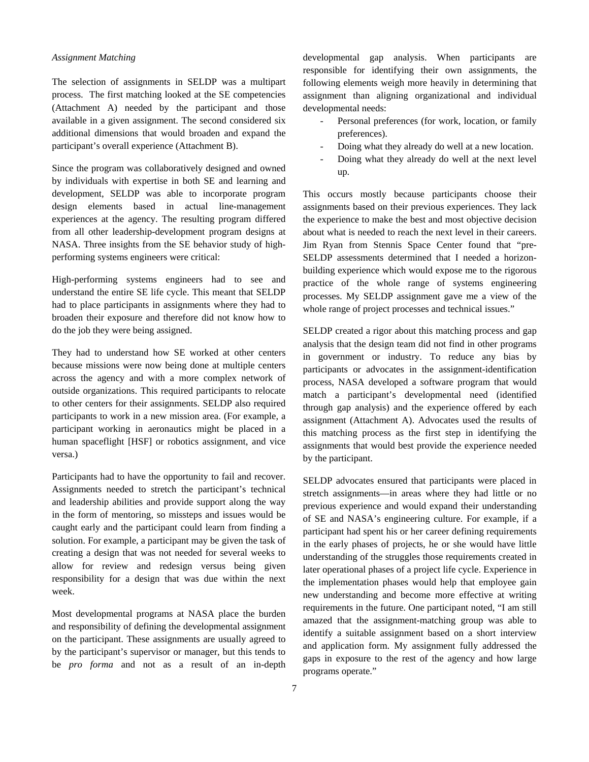#### *Assignment Matching*

The selection of assignments in SELDP was a multipart process. The first matching looked at the SE competencies (Attachment A) needed by the participant and those available in a given assignment. The second considered six additional dimensions that would broaden and expand the participant's overall experience (Attachment B).

Since the program was collaboratively designed and owned by individuals with expertise in both SE and learning and development, SELDP was able to incorporate program design elements based in actual line-management experiences at the agency. The resulting program differed from all other leadership-development program designs at NASA. Three insights from the SE behavior study of highperforming systems engineers were critical:

High-performing systems engineers had to see and understand the entire SE life cycle. This meant that SELDP had to place participants in assignments where they had to broaden their exposure and therefore did not know how to do the job they were being assigned.

They had to understand how SE worked at other centers because missions were now being done at multiple centers across the agency and with a more complex network of outside organizations. This required participants to relocate to other centers for their assignments. SELDP also required participants to work in a new mission area. (For example, a participant working in aeronautics might be placed in a human spaceflight [HSF] or robotics assignment, and vice versa.)

Participants had to have the opportunity to fail and recover. Assignments needed to stretch the participant's technical and leadership abilities and provide support along the way in the form of mentoring, so missteps and issues would be caught early and the participant could learn from finding a solution. For example, a participant may be given the task of creating a design that was not needed for several weeks to allow for review and redesign versus being given responsibility for a design that was due within the next week.

Most developmental programs at NASA place the burden and responsibility of defining the developmental assignment on the participant. These assignments are usually agreed to by the participant's supervisor or manager, but this tends to be *pro forma* and not as a result of an in-depth developmental gap analysis. When participants are responsible for identifying their own assignments, the following elements weigh more heavily in determining that assignment than aligning organizational and individual developmental needs:

- Personal preferences (for work, location, or family preferences).
- Doing what they already do well at a new location.
- Doing what they already do well at the next level up.

This occurs mostly because participants choose their assignments based on their previous experiences. They lack the experience to make the best and most objective decision about what is needed to reach the next level in their careers. Jim Ryan from Stennis Space Center found that "pre-SELDP assessments determined that I needed a horizonbuilding experience which would expose me to the rigorous practice of the whole range of systems engineering processes. My SELDP assignment gave me a view of the whole range of project processes and technical issues."

SELDP created a rigor about this matching process and gap analysis that the design team did not find in other programs in government or industry. To reduce any bias by participants or advocates in the assignment-identification process, NASA developed a software program that would match a participant's developmental need (identified through gap analysis) and the experience offered by each assignment (Attachment A). Advocates used the results of this matching process as the first step in identifying the assignments that would best provide the experience needed by the participant.

SELDP advocates ensured that participants were placed in stretch assignments—in areas where they had little or no previous experience and would expand their understanding of SE and NASA's engineering culture. For example, if a participant had spent his or her career defining requirements in the early phases of projects, he or she would have little understanding of the struggles those requirements created in later operational phases of a project life cycle. Experience in the implementation phases would help that employee gain new understanding and become more effective at writing requirements in the future. One participant noted, "I am still amazed that the assignment-matching group was able to identify a suitable assignment based on a short interview and application form. My assignment fully addressed the gaps in exposure to the rest of the agency and how large programs operate."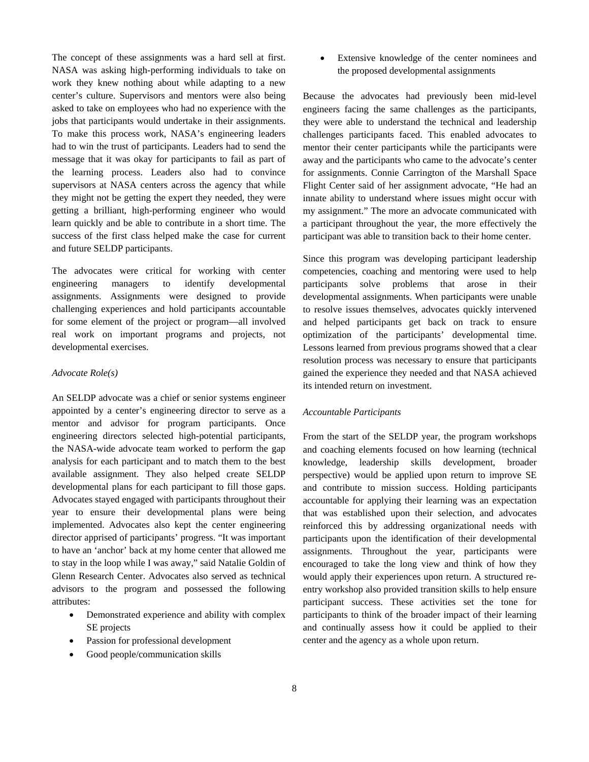The concept of these assignments was a hard sell at first. NASA was asking high-performing individuals to take on work they knew nothing about while adapting to a new center's culture. Supervisors and mentors were also being asked to take on employees who had no experience with the jobs that participants would undertake in their assignments. To make this process work, NASA's engineering leaders had to win the trust of participants. Leaders had to send the message that it was okay for participants to fail as part of the learning process. Leaders also had to convince supervisors at NASA centers across the agency that while they might not be getting the expert they needed, they were getting a brilliant, high-performing engineer who would learn quickly and be able to contribute in a short time. The success of the first class helped make the case for current and future SELDP participants.

The advocates were critical for working with center engineering managers to identify developmental assignments. Assignments were designed to provide challenging experiences and hold participants accountable for some element of the project or program—all involved real work on important programs and projects, not developmental exercises.

#### *Advocate Role(s)*

An SELDP advocate was a chief or senior systems engineer appointed by a center's engineering director to serve as a mentor and advisor for program participants. Once engineering directors selected high-potential participants, the NASA-wide advocate team worked to perform the gap analysis for each participant and to match them to the best available assignment. They also helped create SELDP developmental plans for each participant to fill those gaps. Advocates stayed engaged with participants throughout their year to ensure their developmental plans were being implemented. Advocates also kept the center engineering director apprised of participants' progress. "It was important to have an 'anchor' back at my home center that allowed me to stay in the loop while I was away," said Natalie Goldin of Glenn Research Center. Advocates also served as technical advisors to the program and possessed the following attributes:

- Demonstrated experience and ability with complex SE projects
- Passion for professional development
- Good people/communication skills

 Extensive knowledge of the center nominees and the proposed developmental assignments

Because the advocates had previously been mid-level engineers facing the same challenges as the participants, they were able to understand the technical and leadership challenges participants faced. This enabled advocates to mentor their center participants while the participants were away and the participants who came to the advocate's center for assignments. Connie Carrington of the Marshall Space Flight Center said of her assignment advocate, "He had an innate ability to understand where issues might occur with my assignment." The more an advocate communicated with a participant throughout the year, the more effectively the participant was able to transition back to their home center.

Since this program was developing participant leadership competencies, coaching and mentoring were used to help participants solve problems that arose in their developmental assignments. When participants were unable to resolve issues themselves, advocates quickly intervened and helped participants get back on track to ensure optimization of the participants' developmental time. Lessons learned from previous programs showed that a clear resolution process was necessary to ensure that participants gained the experience they needed and that NASA achieved its intended return on investment.

#### *Accountable Participants*

From the start of the SELDP year, the program workshops and coaching elements focused on how learning (technical knowledge, leadership skills development, broader perspective) would be applied upon return to improve SE and contribute to mission success. Holding participants accountable for applying their learning was an expectation that was established upon their selection, and advocates reinforced this by addressing organizational needs with participants upon the identification of their developmental assignments. Throughout the year, participants were encouraged to take the long view and think of how they would apply their experiences upon return. A structured reentry workshop also provided transition skills to help ensure participant success. These activities set the tone for participants to think of the broader impact of their learning and continually assess how it could be applied to their center and the agency as a whole upon return.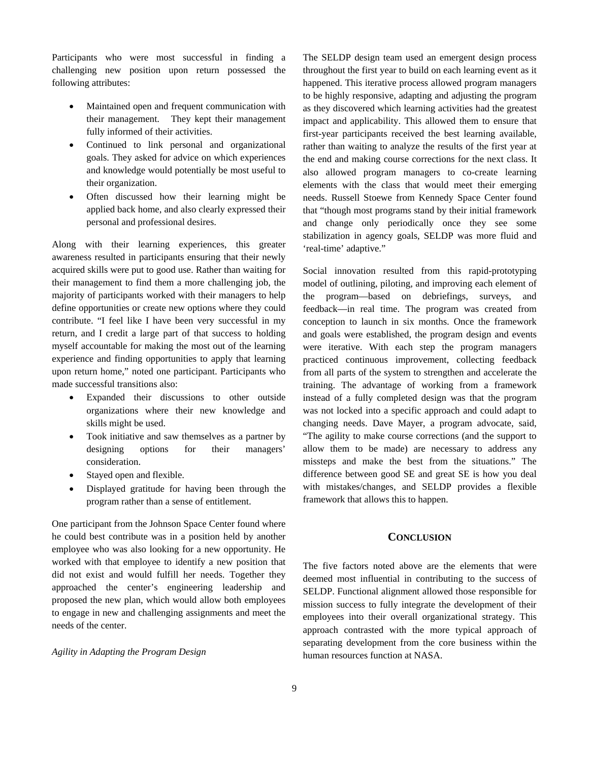Participants who were most successful in finding a challenging new position upon return possessed the following attributes:

- Maintained open and frequent communication with their management. They kept their management fully informed of their activities.
- Continued to link personal and organizational goals. They asked for advice on which experiences and knowledge would potentially be most useful to their organization.
- Often discussed how their learning might be applied back home, and also clearly expressed their personal and professional desires.

Along with their learning experiences, this greater awareness resulted in participants ensuring that their newly acquired skills were put to good use. Rather than waiting for their management to find them a more challenging job, the majority of participants worked with their managers to help define opportunities or create new options where they could contribute. "I feel like I have been very successful in my return, and I credit a large part of that success to holding myself accountable for making the most out of the learning experience and finding opportunities to apply that learning upon return home," noted one participant. Participants who made successful transitions also:

- Expanded their discussions to other outside organizations where their new knowledge and skills might be used.
- Took initiative and saw themselves as a partner by designing options for their managers' consideration.
- Stayed open and flexible.
- Displayed gratitude for having been through the program rather than a sense of entitlement.

One participant from the Johnson Space Center found where he could best contribute was in a position held by another employee who was also looking for a new opportunity. He worked with that employee to identify a new position that did not exist and would fulfill her needs. Together they approached the center's engineering leadership and proposed the new plan, which would allow both employees to engage in new and challenging assignments and meet the needs of the center.

#### *Agility in Adapting the Program Design*

The SELDP design team used an emergent design process throughout the first year to build on each learning event as it happened. This iterative process allowed program managers to be highly responsive, adapting and adjusting the program as they discovered which learning activities had the greatest impact and applicability. This allowed them to ensure that first-year participants received the best learning available, rather than waiting to analyze the results of the first year at the end and making course corrections for the next class. It also allowed program managers to co-create learning elements with the class that would meet their emerging needs. Russell Stoewe from Kennedy Space Center found that "though most programs stand by their initial framework and change only periodically once they see some stabilization in agency goals, SELDP was more fluid and 'real-time' adaptive."

Social innovation resulted from this rapid-prototyping model of outlining, piloting, and improving each element of the program—based on debriefings, surveys, and feedback—in real time. The program was created from conception to launch in six months. Once the framework and goals were established, the program design and events were iterative. With each step the program managers practiced continuous improvement, collecting feedback from all parts of the system to strengthen and accelerate the training. The advantage of working from a framework instead of a fully completed design was that the program was not locked into a specific approach and could adapt to changing needs. Dave Mayer, a program advocate, said, "The agility to make course corrections (and the support to allow them to be made) are necessary to address any missteps and make the best from the situations." The difference between good SE and great SE is how you deal with mistakes/changes, and SELDP provides a flexible framework that allows this to happen.

#### **CONCLUSION**

The five factors noted above are the elements that were deemed most influential in contributing to the success of SELDP. Functional alignment allowed those responsible for mission success to fully integrate the development of their employees into their overall organizational strategy. This approach contrasted with the more typical approach of separating development from the core business within the human resources function at NASA.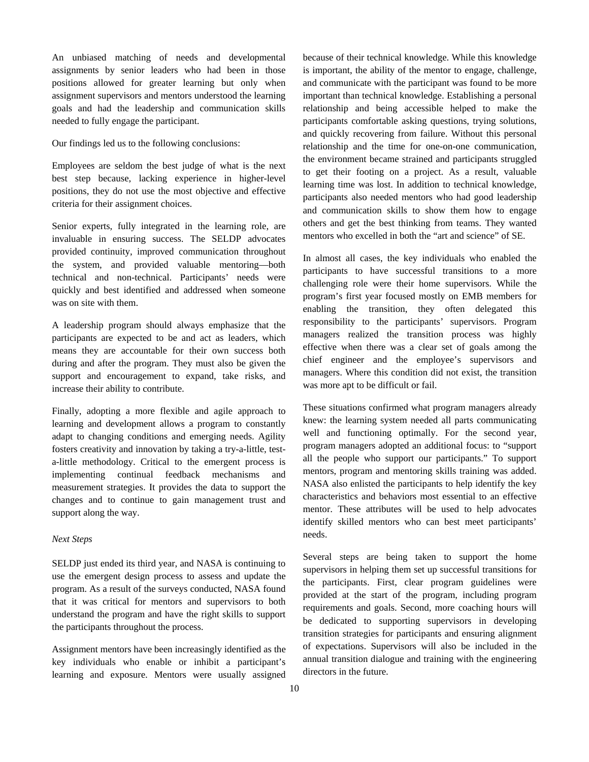An unbiased matching of needs and developmental assignments by senior leaders who had been in those positions allowed for greater learning but only when assignment supervisors and mentors understood the learning goals and had the leadership and communication skills needed to fully engage the participant.

Our findings led us to the following conclusions:

Employees are seldom the best judge of what is the next best step because, lacking experience in higher-level positions, they do not use the most objective and effective criteria for their assignment choices.

Senior experts, fully integrated in the learning role, are invaluable in ensuring success. The SELDP advocates provided continuity, improved communication throughout the system, and provided valuable mentoring—both technical and non-technical. Participants' needs were quickly and best identified and addressed when someone was on site with them.

A leadership program should always emphasize that the participants are expected to be and act as leaders, which means they are accountable for their own success both during and after the program. They must also be given the support and encouragement to expand, take risks, and increase their ability to contribute.

Finally, adopting a more flexible and agile approach to learning and development allows a program to constantly adapt to changing conditions and emerging needs. Agility fosters creativity and innovation by taking a try-a-little, testa-little methodology. Critical to the emergent process is implementing continual feedback mechanisms and measurement strategies. It provides the data to support the changes and to continue to gain management trust and support along the way.

#### *Next Steps*

SELDP just ended its third year, and NASA is continuing to use the emergent design process to assess and update the program. As a result of the surveys conducted, NASA found that it was critical for mentors and supervisors to both understand the program and have the right skills to support the participants throughout the process.

Assignment mentors have been increasingly identified as the key individuals who enable or inhibit a participant's learning and exposure. Mentors were usually assigned

because of their technical knowledge. While this knowledge is important, the ability of the mentor to engage, challenge, and communicate with the participant was found to be more important than technical knowledge. Establishing a personal relationship and being accessible helped to make the participants comfortable asking questions, trying solutions, and quickly recovering from failure. Without this personal relationship and the time for one-on-one communication, the environment became strained and participants struggled to get their footing on a project. As a result, valuable learning time was lost. In addition to technical knowledge, participants also needed mentors who had good leadership and communication skills to show them how to engage others and get the best thinking from teams. They wanted mentors who excelled in both the "art and science" of SE.

In almost all cases, the key individuals who enabled the participants to have successful transitions to a more challenging role were their home supervisors. While the program's first year focused mostly on EMB members for enabling the transition, they often delegated this responsibility to the participants' supervisors. Program managers realized the transition process was highly effective when there was a clear set of goals among the chief engineer and the employee's supervisors and managers. Where this condition did not exist, the transition was more apt to be difficult or fail.

These situations confirmed what program managers already knew: the learning system needed all parts communicating well and functioning optimally. For the second year, program managers adopted an additional focus: to "support all the people who support our participants." To support mentors, program and mentoring skills training was added. NASA also enlisted the participants to help identify the key characteristics and behaviors most essential to an effective mentor. These attributes will be used to help advocates identify skilled mentors who can best meet participants' needs.

Several steps are being taken to support the home supervisors in helping them set up successful transitions for the participants. First, clear program guidelines were provided at the start of the program, including program requirements and goals. Second, more coaching hours will be dedicated to supporting supervisors in developing transition strategies for participants and ensuring alignment of expectations. Supervisors will also be included in the annual transition dialogue and training with the engineering directors in the future.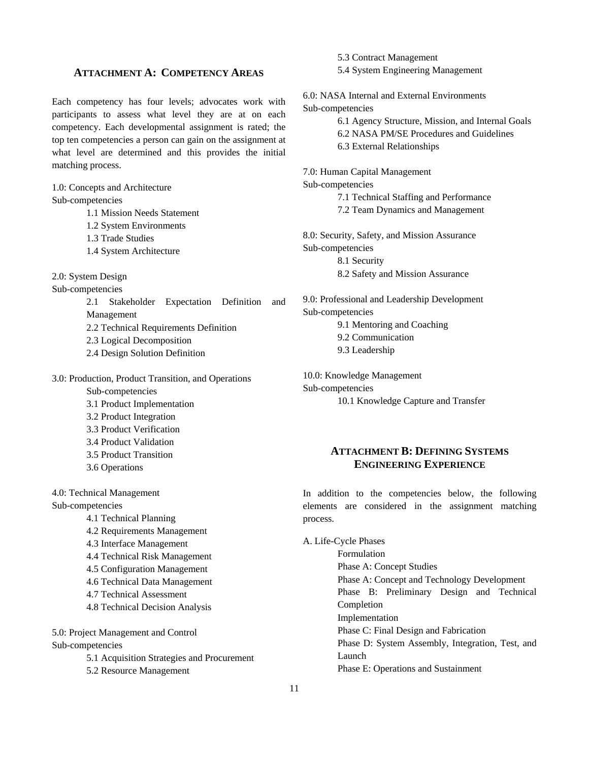#### **ATTACHMENT A: COMPETENCY AREAS**

Each competency has four levels; advocates work with participants to assess what level they are at on each competency. Each developmental assignment is rated; the top ten competencies a person can gain on the assignment at what level are determined and this provides the initial matching process.

1.0: Concepts and Architecture

#### Sub-competencies

- 1.1 Mission Needs Statement
- 1.2 System Environments
- 1.3 Trade Studies
- 1.4 System Architecture

2.0: System Design

Sub-competencies

- 2.1 Stakeholder Expectation Definition and Management
- 2.2 Technical Requirements Definition
- 2.3 Logical Decomposition
- 2.4 Design Solution Definition

3.0: Production, Product Transition, and Operations Sub-competencies 3.1 Product Implementation 3.2 Product Integration

- 3.3 Product Verification
- 3.4 Product Validation
- 3.5 Product Transition
- 3.6 Operations

4.0: Technical Management

Sub-competencies

- 4.1 Technical Planning
- 4.2 Requirements Management
- 4.3 Interface Management
- 4.4 Technical Risk Management
- 4.5 Configuration Management
- 4.6 Technical Data Management
- 4.7 Technical Assessment
- 4.8 Technical Decision Analysis

5.0: Project Management and Control Sub-competencies

> 5.1 Acquisition Strategies and Procurement 5.2 Resource Management

5.3 Contract Management 5.4 System Engineering Management

6.0: NASA Internal and External Environments Sub-competencies 6.1 Agency Structure, Mission, and Internal Goals 6.2 NASA PM/SE Procedures and Guidelines 6.3 External Relationships 7.0: Human Capital Management Sub-competencies

> 7.1 Technical Staffing and Performance 7.2 Team Dynamics and Management

8.0: Security, Safety, and Mission Assurance Sub-competencies 8.1 Security 8.2 Safety and Mission Assurance

9.0: Professional and Leadership Development Sub-competencies 9.1 Mentoring and Coaching 9.2 Communication

9.3 Leadership

10.0: Knowledge Management Sub-competencies 10.1 Knowledge Capture and Transfer

## **ATTACHMENT B: DEFINING SYSTEMS ENGINEERING EXPERIENCE**

In addition to the competencies below, the following elements are considered in the assignment matching process.

A. Life-Cycle Phases Formulation Phase A: Concept Studies Phase A: Concept and Technology Development Phase B: Preliminary Design and Technical Completion Implementation Phase C: Final Design and Fabrication Phase D: System Assembly, Integration, Test, and Launch Phase E: Operations and Sustainment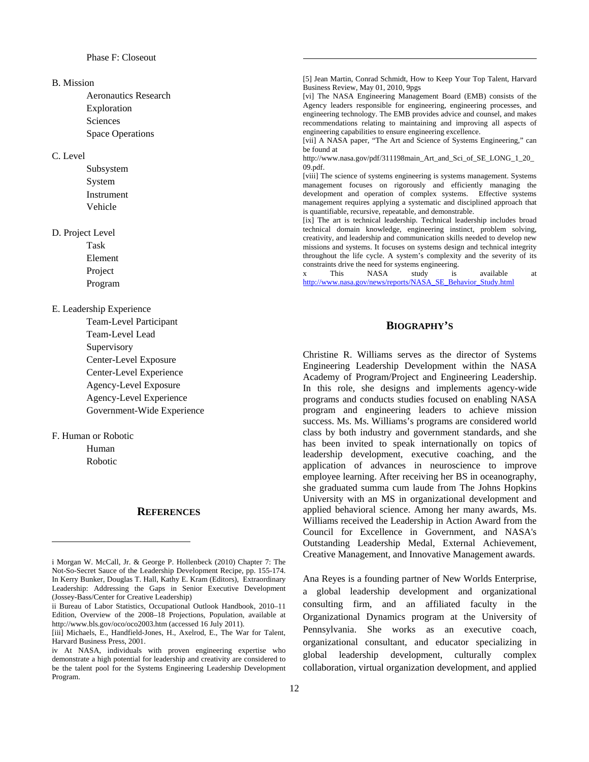#### B. Mission

Aeronautics Research Exploration **Sciences** Space Operations

#### C. Level

Subsystem System Instrument Vehicle

#### D. Project Level

Task Element Project Program

#### E. Leadership Experience

Team-Level Participant Team-Level Lead **Supervisory** Center-Level Exposure Center-Level Experience Agency-Level Exposure Agency-Level Experience Government-Wide Experience

#### F. Human or Robotic

1

Human Robotic

#### **REFERENCES**

[5] Jean Martin, Conrad Schmidt, How to Keep Your Top Talent, Harvard Business Review, May 01, 2010, 9pgs

 $\overline{a}$ 

[vi] The NASA Engineering Management Board (EMB) consists of the Agency leaders responsible for engineering, engineering processes, and engineering technology. The EMB provides advice and counsel, and makes recommendations relating to maintaining and improving all aspects of engineering capabilities to ensure engineering excellence.

[vii] A NASA paper, "The Art and Science of Systems Engineering," can be found at

http://www.nasa.gov/pdf/311198main\_Art\_and\_Sci\_of\_SE\_LONG\_1\_20\_ 09.pdf.

[viii] The science of systems engineering is systems management. Systems management focuses on rigorously and efficiently managing the development and operation of complex systems. Effective systems management requires applying a systematic and disciplined approach that is quantifiable, recursive, repeatable, and demonstrable.

[ix] The art is technical leadership. Technical leadership includes broad technical domain knowledge, engineering instinct, problem solving, creativity, and leadership and communication skills needed to develop new missions and systems. It focuses on systems design and technical integrity throughout the life cycle. A system's complexity and the severity of its constraints drive the need for systems engineering.

This NASA study is available at [http://www.nasa.gov/news/reports/NASA\\_SE\\_Behavior\\_Study.html](http://www.nasa.gov/news/reports/NASA_SE_Behavior_Study.html)

#### **BIOGRAPHY'S**

Christine R. Williams serves as the director of Systems Engineering Leadership Development within the NASA Academy of Program/Project and Engineering Leadership. In this role, she designs and implements agency-wide programs and conducts studies focused on enabling NASA program and engineering leaders to achieve mission success. Ms. Ms. Williams's programs are considered world class by both industry and government standards, and she has been invited to speak internationally on topics of leadership development, executive coaching, and the application of advances in neuroscience to improve employee learning. After receiving her BS in oceanography, she graduated summa cum laude from The Johns Hopkins University with an MS in organizational development and applied behavioral science. Among her many awards, Ms. Williams received the Leadership in Action Award from the Council for Excellence in Government, and NASA's Outstanding Leadership Medal, External Achievement, Creative Management, and Innovative Management awards.

Ana Reyes is a founding partner of New Worlds Enterprise, a global leadership development and organizational consulting firm, and an affiliated faculty in the Organizational Dynamics program at the University of Pennsylvania. She works as an executive coach, organizational consultant, and educator specializing in global leadership development, culturally complex collaboration, virtual organization development, and applied

<span id="page-13-0"></span>i Morgan W. McCall, Jr. & George P. Hollenbeck (2010) Chapter 7: The Not-So-Secret Sauce of the Leadership Development Recipe, pp. 155-174. In Kerry Bunker, Douglas T. Hall, Kathy E. Kram (Editors), Extraordinary Leadership: Addressing the Gaps in Senior Executive Development (Jossey-Bass/Center for Creative Leadership)

<span id="page-13-1"></span>ii Bureau of Labor Statistics, Occupational Outlook Handbook, 2010–11 Edition, Overview of the 2008–18 Projections, Population, available at http://www.bls.gov/oco/oco2003.htm (accessed 16 July 2011).

<span id="page-13-2"></span><sup>[</sup>iii] Michaels, E., Handfield-Jones, H., Axelrod, E., The War for Talent, Harvard Business Press, 2001.

<span id="page-13-3"></span>iv At NASA, individuals with proven engineering expertise who demonstrate a high potential for leadership and creativity are considered to be the talent pool for the Systems Engineering Leadership Development Program.